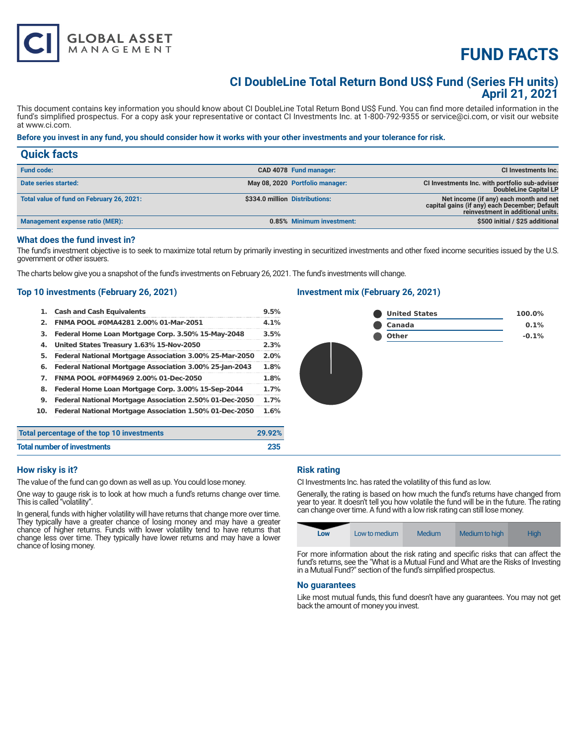# **FUND FACTS**

## **CI DoubleLine Total Return Bond US\$ Fund (Series FH units) April 21, 2021**

This document contains key information you should know about CI DoubleLine Total Return Bond US\$ Fund. You can find more detailed information in the fund's simplified prospectus. For a copy ask your representative or contact CI Investments Inc. at 1-800-792-9355 or service@ci.com, or visit our website at www.ci.com.

### **Before you invest in any fund, you should consider how it works with your other investments and your tolerance for risk.**

| <b>Quick facts</b>                        |                                 |                                                                                                                              |
|-------------------------------------------|---------------------------------|------------------------------------------------------------------------------------------------------------------------------|
| <b>Fund code:</b>                         | CAD 4078 Fund manager:          | <b>CI Investments Inc.</b>                                                                                                   |
| Date series started:                      | May 08, 2020 Portfolio manager: | CI Investments Inc. with portfolio sub-adviser<br>DoubleLine Capital LP                                                      |
| Total value of fund on February 26, 2021: | \$334.0 million Distributions:  | Net income (if any) each month and net<br>capital gains (if any) each December; Default<br>reinvestment in additional units. |
| Management expense ratio (MER):           | 0.85% Minimum investment:       | \$500 initial / \$25 additional                                                                                              |

#### **What does the fund invest in?**

The fund's investment objective is to seek to maximize total return by primarily investing in securitized investments and other fixed income securities issued by the U.S. government or other issuers.

The charts below give you a snapshot of the fund's investments on February 26, 2021. The fund's investments will change.

### **Top 10 investments (February 26, 2021)**

**GLOBAL ASSET**<br>MANAGEMENT

| 1.  | <b>Cash and Cash Equivalents</b>                        | 9.5% |
|-----|---------------------------------------------------------|------|
| 2.  | FNMA POOL #0MA4281 2.00% 01-Mar-2051                    | 4.1% |
| з.  | Federal Home Loan Mortgage Corp. 3.50% 15-May-2048      | 3.5% |
| 4.  | United States Treasury 1.63% 15-Nov-2050                | 2.3% |
| 5.  | Federal National Mortgage Association 3.00% 25-Mar-2050 | 2.0% |
| 6.  | Federal National Mortgage Association 3.00% 25-Jan-2043 | 1.8% |
| 7.  | FNMA POOL #0FM4969 2.00% 01-Dec-2050                    | 1.8% |
| 8.  | Federal Home Loan Mortgage Corp. 3.00% 15-Sep-2044      | 1.7% |
| 9.  | Federal National Mortgage Association 2.50% 01-Dec-2050 | 1.7% |
| 10. | Federal National Mortgage Association 1.50% 01-Dec-2050 | 1.6% |
|     |                                                         |      |

### **Investment mix (February 26, 2021)**



| Total percentage of the top 10 investments | 29.92% |
|--------------------------------------------|--------|
| <b>Total number of investments</b>         | 235    |

#### **How risky is it?**

The value of the fund can go down as well as up. You could lose money.

One way to gauge risk is to look at how much a fund's returns change over time. This is called "volatility".

In general, funds with higher volatility will have returns that change more over time. They typically have a greater chance of losing money and may have a greater chance of higher returns. Funds with lower volatility tend to have returns that change less over time. They typically have lower returns and may have a lower chance of losing money.

#### **Risk rating**

CI Investments Inc. has rated the volatility of this fund as low.

Generally, the rating is based on how much the fund's returns have changed from year to year. It doesn't tell you how volatile the fund will be in the future. The rating can change over time. A fund with a low risk rating can still lose money.

| Low | Low to medium | Medium | Medium to high | High |
|-----|---------------|--------|----------------|------|
|     |               |        |                |      |

For more information about the risk rating and specific risks that can affect the fund's returns, see the "What is a Mutual Fund and What are the Risks of Investing in a Mutual Fund?" section of the fund's simplified prospectus.

#### **No guarantees**

Like most mutual funds, this fund doesn't have any guarantees. You may not get back the amount of money you invest.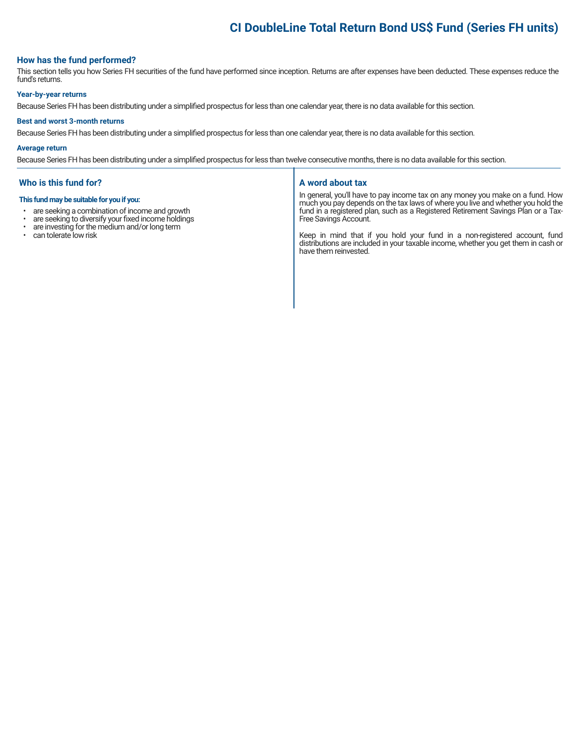# **CI DoubleLine Total Return Bond US\$ Fund (Series FH units)**

#### **How has the fund performed?**

This section tells you how Series FH securities of the fund have performed since inception. Returns are after expenses have been deducted. These expenses reduce the fund's returns.

#### **Year-by-year returns**

Because Series FH has been distributing under a simplified prospectus for less than one calendar year, there is no data available for this section.

#### **Best and worst 3-month returns**

Because Series FH has been distributing under a simplified prospectus for less than one calendar year, there is no data available for this section.

#### **Average return**

Because Series FH has been distributing under a simplified prospectus for less than twelve consecutive months, there is no data available for this section.

#### **Who is this fund for?**

#### **This fund may be suitable for you if you:**

- are seeking a combination of income and growth<br>• are seeking to diversify your fixed income holdings
- are seeking to diversify your fixed income holdings<br>• are investing for the medium and/or long term
- are investing for the medium and/or long term
- can tolerate low risk

#### **A word about tax**

In general, you'll have to pay income tax on any money you make on a fund. How much you pay depends on the tax laws of where you live and whether you hold the fund in a registered plan, such as a Registered Retirement Savings Plan or a Tax-Free Savings Account.

Keep in mind that if you hold your fund in a non-registered account, fund distributions are included in your taxable income, whether you get them in cash or have them reinvested.